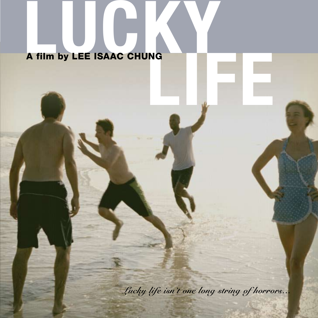# **LUCKYLIFE** A film by LEE ISAAC CHUNG

*Lucky life isn't one long string of horrors...*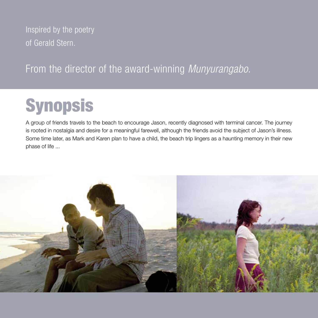Inspired by the poetry of Gerald Stern.

## From the director of the award-winning *Munyurangabo*.

# **Synopsis**

A group of friends travels to the beach to encourage Jason, recently diagnosed with terminal cancer. The journey is rooted in nostalgia and desire for a meaningful farewell, although the friends avoid the subject of Jason's illness. Some time later, as Mark and Karen plan to have a child, the beach trip lingers as a haunting memory in their new phase of life ...

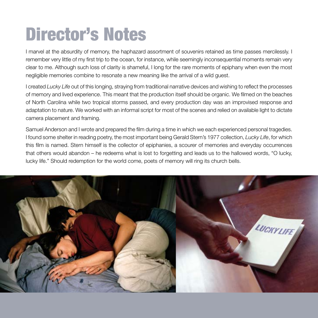# Director's Notes

I marvel at the absurdity of memory, the haphazard assortment of souvenirs retained as time passes mercilessly. I remember very little of my first trip to the ocean, for instance, while seemingly inconsequential moments remain very clear to me. Although such loss of clarity is shameful, I long for the rare moments of epiphany when even the most negligible memories combine to resonate a new meaning like the arrival of a wild guest.

I created *Lucky Life* out of this longing, straying from traditional narrative devices and wishing to reflect the processes of memory and lived experience. This meant that the production itself should be organic. We filmed on the beaches of North Carolina while two tropical storms passed, and every production day was an improvised response and adaptation to nature. We worked with an informal script for most of the scenes and relied on available light to dictate camera placement and framing.

Samuel Anderson and I wrote and prepared the film during a time in which we each experienced personal tragedies. I found some shelter in reading poetry, the most important being Gerald Stern's 1977 collection, *Lucky Life*, for which this film is named. Stern himself is the collector of epiphanies, a scourer of memories and everyday occurrences that others would abandon – he redeems what is lost to forgetting and leads us to the hallowed words, "O lucky, lucky life." Should redemption for the world come, poets of memory will ring its church bells.

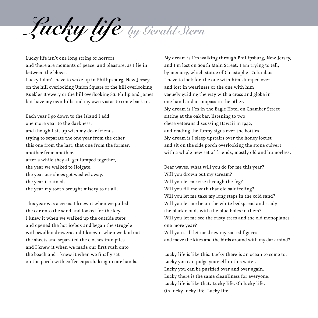*Lucky life by Gerald Stern*

Lucky life isn't one long string of horrors and there are moments of peace, and pleasure, as I lie in between the blows.

Lucky I don't have to wake up in Phillipsburg, New Jersey, on the hill overlooking Union Square or the hill overlooking Kuebler Brewery or the hill overlooking SS. Philip and James but have my own hills and my own vistas to come back to.

Each year I go down to the island I add one more year to the darkness; and though I sit up with my dear friends trying to separate the one year from the other, this one from the last, that one from the former, another from another, after a while they all get lumped together, the year we walked to Holgate, the year our shoes got washed away, the year it rained, the year my tooth brought misery to us all.

This year was a crisis. I knew it when we pulled the car onto the sand and looked for the key. I knew it when we walked up the outside steps and opened the hot icebox and began the struggle with swollen drawers and I knew it when we laid out the sheets and separated the clothes into piles and I knew it when we made our first rush onto the beach and I knew it when we finally sat on the porch with coffee cups shaking in our hands.

My dream is I'm walking through Phillipsburg, New Jersey, and I'm lost on South Main Street. I am trying to tell, by memory, which statue of Christopher Columbus I have to look for, the one with him slumped over and lost in weariness or the one with him vaguely guiding the way with a cross and globe in one hand and a compass in the other. My dream is I'm in the Eagle Hotel on Chamber Street sitting at the oak bar, listening to two obese veterans discussing Hawaii in 1942, and reading the funny signs over the bottles. My dream is I sleep upstairs over the honey locust and sit on the side porch overlooking the stone culvert with a whole new set of friends, mostly old and humorless.

Dear waves, what will you do for me this year? Will you drown out my scream? Will you let me rise through the fog? Will you fill me with that old salt feeling? Will you let me take my long steps in the cold sand? Will you let me lie on the white bedspread and study the black clouds with the blue holes in them? Will you let me see the rusty trees and the old monoplanes one more year? Will you still let me draw my sacred figures and move the kites and the birds around with my dark mind?

Lucky life is like this. Lucky there is an ocean to come to. Lucky you can judge yourself in this water. Lucky you can be purified over and over again. Lucky there is the same cleanliness for everyone. Lucky life is like that. Lucky life. Oh lucky life. Oh lucky lucky life. Lucky life.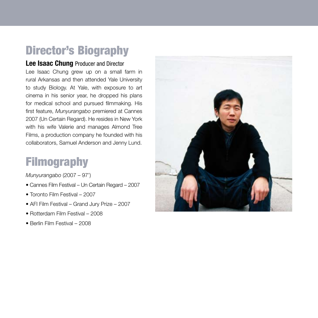# Director's Biography

### **Lee Isaac Chung** Producer and Director

Lee Isaac Chung grew up on a small farm in rural Arkansas and then attended Yale University to study Biology. At Yale, with exposure to art cinema in his senior year, he dropped his plans for medical school and pursued filmmaking. His first feature, *Munyurangabo* premiered at Cannes 2007 (Un Certain Regard). He resides in New York with his wife Valerie and manages Almond Tree Films, a production company he founded with his collaborators, Samuel Anderson and Jenny Lund.

# Filmography

*Munyurangabo* (2007 – 97')

- Cannes Film Festival Un Certain Regard 2007
- Toronto Film Festival 2007
- AFI Film Festival Grand Jury Prize 2007
- Rotterdam Film Festival 2008
- Berlin Film Festival 2008

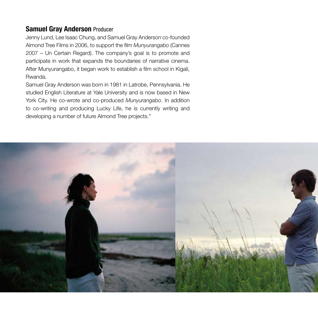### **Samuel Gray Anderson** Producer

Jenny Lund, Lee Isaac Chung, and Samuel Gray Anderson co-founded Almond Tree Films in 2006, to support the film *Munyurangabo* (Cannes 2007 – Un Certain Regard). The company's goal is to promote and participate in work that expands the boundaries of narrative cinema. After Munyurangabo, it began work to establish a film school in Kigali, Rwanda.

Samuel Gray Anderson was born in 1981 in Latrobe, Pennsylvania. He studied English Literature at Yale University and is now based in New York City. He co-wrote and co-produced *Munyurangabo*. In addition to co-writing and producing Lucky Life, he is currently writing and developing a number of future Almond Tree projects."

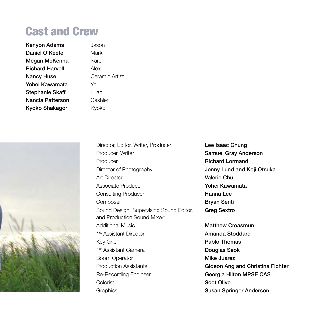# Cast and Crew

| Kenyon Adams           | Jaso   |
|------------------------|--------|
| Daniel O'Keefe         | Marl   |
| Megan McKenna          | Kare   |
| <b>Richard Harvell</b> | Alex   |
| Nancy Huse             | Cera   |
| Yohei Kawamata         | Yo     |
| Stephanie Skaff        | Liliar |
| Nancia Patterson       | Cas    |
| Kyoko Shakagori        | Kvol   |

Kenyon Adams Jason Mark Karen Ceramic Artist I ilian Cashier Kyoko



Producer, Writer **Samuel Gray Anderson** Producer **Richard Lormand** Director of Photography **Jenny Lund and Koji Otsuka** Art Director Valerie Chu Associate Producer **Yohei Kawamata** Consulting Producer **Hanna Lee** Composer **Bryan Senti** Sound Design, Supervising Sound Editor, Greg Sextro and Production Sound Mixer: Additional Music **Matthew Croasmun** 1<sup>st</sup> Assistant Director **Amanda Stoddard** Key Grip **Pablo Thomas** 1<sup>st</sup> Assistant Camera **Douglas Seok** Boom Operator **Mike Juarez** Production Assistants **Gideon Ang and Christina Fichter** Re-Recording Engineer Georgia Hilton MPSE CAS Colorist **Scot Olive** Graphics **Susan Springer Anderson** 

Director, Editor, Writer, Producer **Lee Isaac Chung**